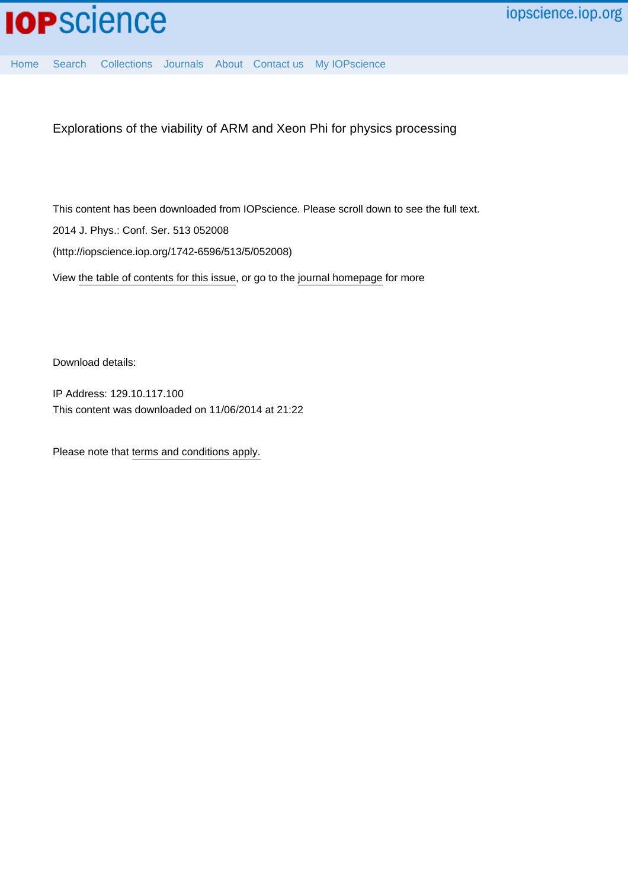

[Home](http://iopscience.iop.org/) [Search](http://iopscience.iop.org/search) [Collections](http://iopscience.iop.org/collections) [Journals](http://iopscience.iop.org/journals) [About](http://iopscience.iop.org/page/aboutioppublishing) [Contact us](http://iopscience.iop.org/contact) [My IOPscience](http://iopscience.iop.org/myiopscience)

Explorations of the viability of ARM and Xeon Phi for physics processing

This content has been downloaded from IOPscience. Please scroll down to see the full text. View [the table of contents for this issue](http://iopscience.iop.org/1742-6596/513/5), or go to the [journal homepage](http://iopscience.iop.org/1742-6596) for more 2014 J. Phys.: Conf. Ser. 513 052008 (http://iopscience.iop.org/1742-6596/513/5/052008)

Download details:

IP Address: 129.10.117.100 This content was downloaded on 11/06/2014 at 21:22

Please note that [terms and conditions apply.](iopscience.iop.org/page/terms)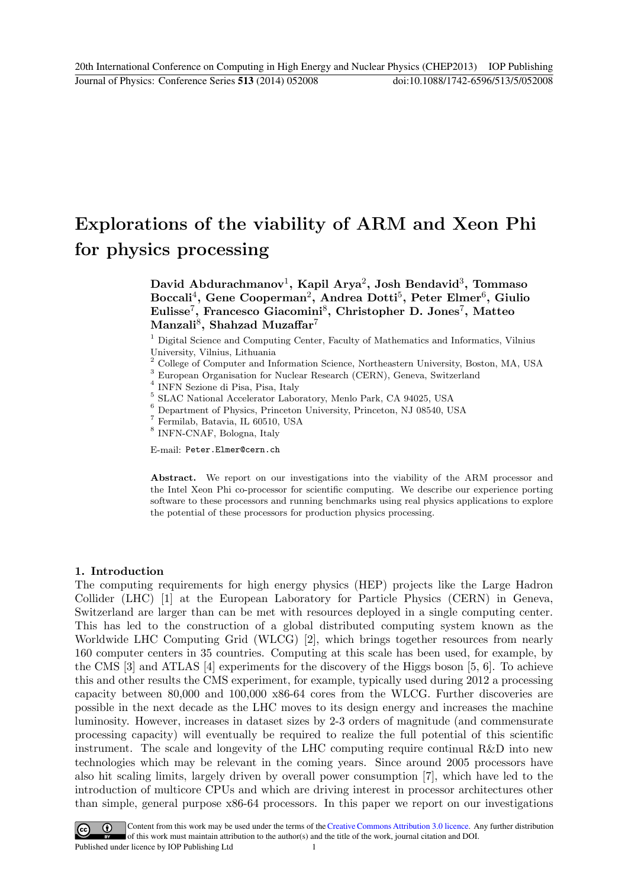# Explorations of the viability of ARM and Xeon Phi for physics processing

David Abdurachmanov<sup>1</sup>, Kapil Arya<sup>2</sup>, Josh Bendavid<sup>3</sup>, Tommaso Boccali<sup>4</sup>, Gene Cooperman<sup>2</sup>, Andrea Dotti<sup>5</sup>, Peter Elmer<sup>6</sup>, Giulio Eulisse<sup>7</sup>, Francesco Giacomini<sup>8</sup>, Christopher D. Jones<sup>7</sup>, Matteo Manzali<sup>8</sup>, Shahzad Muzaffar<sup>7</sup>

<sup>1</sup> Digital Science and Computing Center, Faculty of Mathematics and Informatics, Vilnius

University, Vilnius, Lithuania<br>
<sup>2</sup> College of Computer and Information Science, Northeastern University, Boston, MA, USA<br>
<sup>3</sup> European Organisation for Nuclear Research (CERN), Geneva, Switzerland<br>
<sup>4</sup> INFN Sezione di Pi

E-mail: Peter.Elmer@cern.ch

Abstract. We report on our investigations into the viability of the ARM processor and the Intel Xeon Phi co-processor for scientific computing. We describe our experience porting software to these processors and running benchmarks using real physics applications to explore the potential of these processors for production physics processing.

#### 1. Introduction

The computing requirements for high energy physics (HEP) projects like the Large Hadron Collider (LHC) [1] at the European Laboratory for Particle Physics (CERN) in Geneva, Switzerland are larger than can be met with resources deployed in a single computing center. This has led to the construction of a global distributed computing system known as the Worldwide LHC Computing Grid (WLCG) [2], which brings together resources from nearly 160 computer centers in 35 countries. Computing at this scale has been used, for example, by the CMS [3] and ATLAS [4] experiments for the discovery of the Higgs boson [5, 6]. To achieve this and other results the CMS experiment, for example, typically used during 2012 a processing capacity between 80,000 and 100,000 x86-64 cores from the WLCG. Further discoveries are possible in the next decade as the LHC moves to its design energy and increases the machine luminosity. However, increases in dataset sizes by 2-3 orders of magnitude (and commensurate processing capacity) will eventually be required to realize the full potential of this scientific instrument. The scale and longevity of the LHC computing require continual R&D into new technologies which may be relevant in the coming years. Since around 2005 processors have also hit scaling limits, largely driven by overall power consumption [7], which have led to the introduction of multicore CPUs and which are driving interest in processor architectures other than simple, general purpose x86-64 processors. In this paper we report on our investigations

Content from this work may be used under the terms of the Creative Commons Attribution 3.0 licence. Any further distribution  $\odot$  $\vert$  (cc) of this work must maintain attribution to the author(s) and the title of the work, journal citation and DOI. Published under licence by IOP Publishing Ltd 1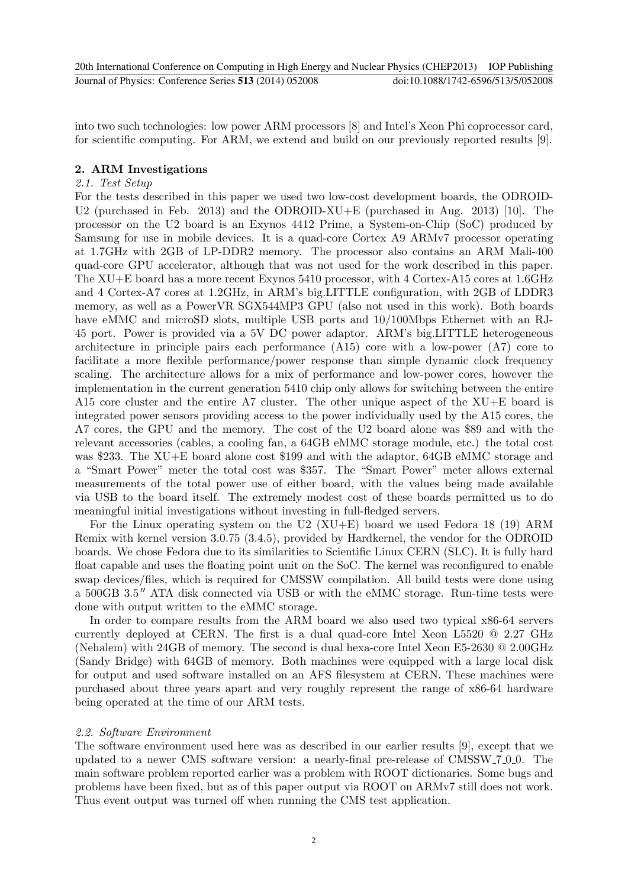into two such technologies: low power ARM processors [8] and Intel's Xeon Phi coprocessor card, for scientific computing. For ARM, we extend and build on our previously reported results [9].

#### 2. ARM Investigations

#### *2.1. Test Setup*

For the tests described in this paper we used two low-cost development boards, the ODROID-U2 (purchased in Feb. 2013) and the ODROID-XU+E (purchased in Aug. 2013) [10]. The processor on the U2 board is an Exynos 4412 Prime, a System-on-Chip (SoC) produced by Samsung for use in mobile devices. It is a quad-core Cortex A9 ARMv7 processor operating at 1.7GHz with 2GB of LP-DDR2 memory. The processor also contains an ARM Mali-400 quad-core GPU accelerator, although that was not used for the work described in this paper. The XU+E board has a more recent Exynos 5410 processor, with 4 Cortex-A15 cores at 1.6GHz and 4 Cortex-A7 cores at 1.2GHz, in ARM's big.LITTLE configuration, with 2GB of LDDR3 memory, as well as a PowerVR SGX544MP3 GPU (also not used in this work). Both boards have eMMC and microSD slots, multiple USB ports and  $10/100M$ bps Ethernet with an RJ-45 port. Power is provided via a 5V DC power adaptor. ARM's big.LITTLE heterogeneous architecture in principle pairs each performance (A15) core with a low-power (A7) core to facilitate a more flexible performance/power response than simple dynamic clock frequency scaling. The architecture allows for a mix of performance and low-power cores, however the implementation in the current generation 5410 chip only allows for switching between the entire A15 core cluster and the entire A7 cluster. The other unique aspect of the XU+E board is integrated power sensors providing access to the power individually used by the A15 cores, the A7 cores, the GPU and the memory. The cost of the U2 board alone was \$89 and with the relevant accessories (cables, a cooling fan, a 64GB eMMC storage module, etc.) the total cost was \$233. The XU+E board alone cost \$199 and with the adaptor, 64GB eMMC storage and a "Smart Power" meter the total cost was \$357. The "Smart Power" meter allows external measurements of the total power use of either board, with the values being made available via USB to the board itself. The extremely modest cost of these boards permitted us to do meaningful initial investigations without investing in full-fledged servers.

For the Linux operating system on the U2 (XU+E) board we used Fedora 18 (19) ARM Remix with kernel version 3.0.75 (3.4.5), provided by Hardkernel, the vendor for the ODROID boards. We chose Fedora due to its similarities to Scientific Linux CERN (SLC). It is fully hard float capable and uses the floating point unit on the SoC. The kernel was reconfigured to enable swap devices/files, which is required for CMSSW compilation. All build tests were done using a 500GB 3*.*5 ′′ ATA disk connected via USB or with the eMMC storage. Run-time tests were done with output written to the eMMC storage.

In order to compare results from the ARM board we also used two typical x86-64 servers currently deployed at CERN. The first is a dual quad-core Intel Xeon L5520 @ 2.27 GHz (Nehalem) with 24GB of memory. The second is dual hexa-core Intel Xeon E5-2630 @ 2.00GHz (Sandy Bridge) with 64GB of memory. Both machines were equipped with a large local disk for output and used software installed on an AFS filesystem at CERN. These machines were purchased about three years apart and very roughly represent the range of x86-64 hardware being operated at the time of our ARM tests.

#### *2.2. Software Environment*

The software environment used here was as described in our earlier results [9], except that we updated to a newer CMS software version: a nearly-final pre-release of CMSSW 7.000. The main software problem reported earlier was a problem with ROOT dictionaries. Some bugs and problems have been fixed, but as of this paper output via ROOT on ARMv7 still does not work. Thus event output was turned off when running the CMS test application.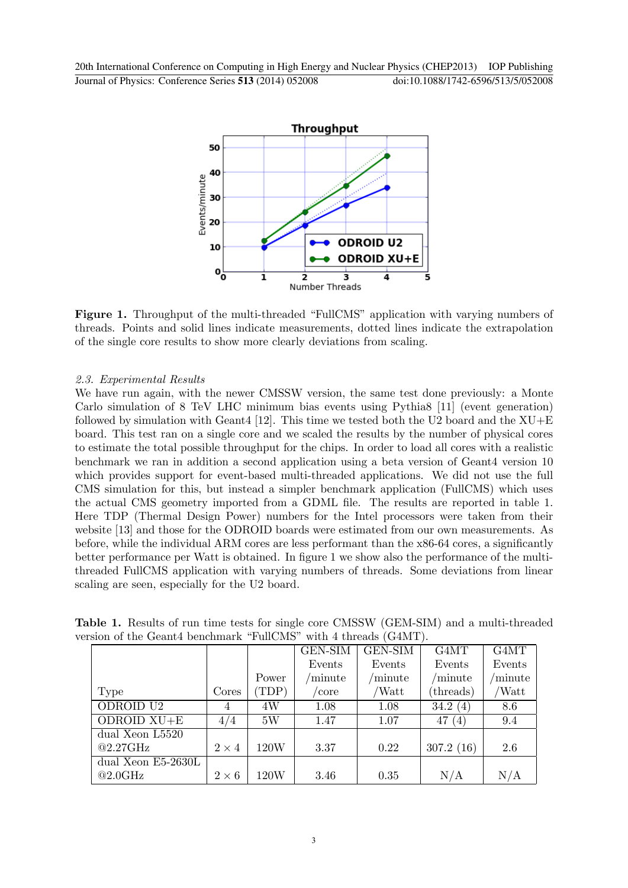

Figure 1. Throughput of the multi-threaded "FullCMS" application with varying numbers of threads. Points and solid lines indicate measurements, dotted lines indicate the extrapolation of the single core results to show more clearly deviations from scaling.

## *2.3. Experimental Results*

We have run again, with the newer CMSSW version, the same test done previously: a Monte Carlo simulation of 8 TeV LHC minimum bias events using Pythia8 [11] (event generation) followed by simulation with Geant4 [12]. This time we tested both the U2 board and the  $XU+E$ board. This test ran on a single core and we scaled the results by the number of physical cores to estimate the total possible throughput for the chips. In order to load all cores with a realistic benchmark we ran in addition a second application using a beta version of Geant4 version 10 which provides support for event-based multi-threaded applications. We did not use the full CMS simulation for this, but instead a simpler benchmark application (FullCMS) which uses the actual CMS geometry imported from a GDML file. The results are reported in table 1. Here TDP (Thermal Design Power) numbers for the Intel processors were taken from their website [13] and those for the ODROID boards were estimated from our own measurements. As before, while the individual ARM cores are less performant than the x86-64 cores, a significantly better performance per Watt is obtained. In figure 1 we show also the performance of the multithreaded FullCMS application with varying numbers of threads. Some deviations from linear scaling are seen, especially for the U2 board.

| лын ог ше стеанет вененная к танстар<br>N |              |                 |                    |                            |                            |                 |
|-------------------------------------------|--------------|-----------------|--------------------|----------------------------|----------------------------|-----------------|
|                                           |              |                 | <b>GEN-SIM</b>     | <b>GEN-SIM</b>             | G4MT                       | G4MT            |
|                                           |              |                 | Events             | Events                     | Events                     | Events          |
|                                           |              | Power           | $\mathrm{/minute}$ | $\gamma$ <sub>minute</sub> | $\gamma$ <sub>minute</sub> | $\gamma$ minute |
| Type                                      | Cores        | TDP)            | 'core              | 'Watt                      | (threads)                  | Watt            |
| ODROID U2                                 | 4            | 4W              | 1.08               | 1.08                       | 34.2(4)                    | 8.6             |
| ODROID $XU+E$                             | 4/4          | 5W              | 1.47               | 1.07                       | 47<br>(4)                  | 9.4             |
| dual Xeon L5520                           |              |                 |                    |                            |                            |                 |
| $@2.27\text{GHz}$                         | $2 \times 4$ | 120W            | 3.37               | 0.22                       | 307.2(16)                  | 2.6             |
| $\overline{\text{dual}}$ Xeon E5-2630L    |              |                 |                    |                            |                            |                 |
| @2.0GHz                                   | $2 \times 6$ | $120\mathrm{W}$ | 3.46               | 0.35                       | N/A                        | N/A             |

Table 1. Results of run time tests for single core CMSSW (GEM-SIM) and a multi-threaded version of the Geant4 benchmark "FullCMS" with 4 threads (G4MT).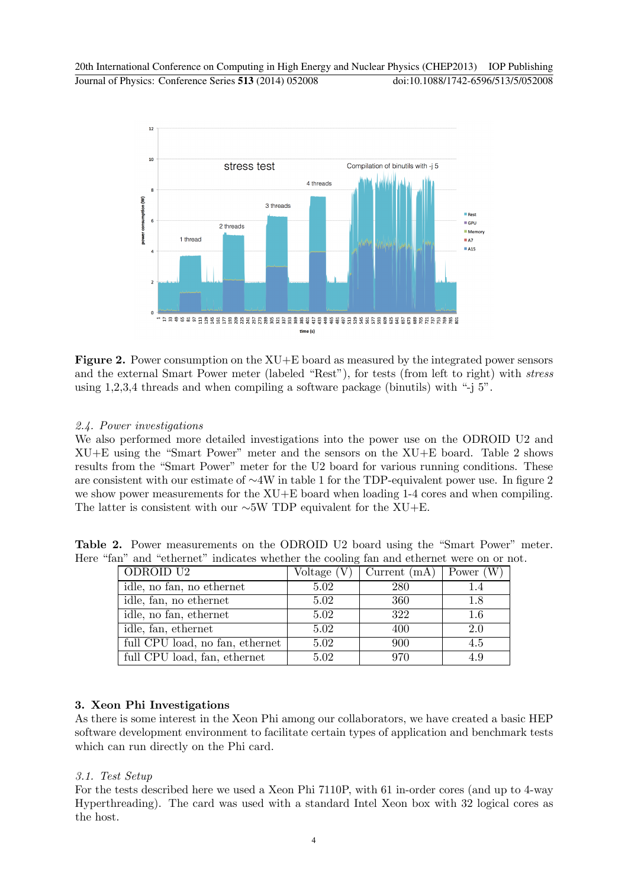

Figure 2. Power consumption on the XU+E board as measured by the integrated power sensors and the external Smart Power meter (labeled "Rest"), for tests (from left to right) with *stress* using 1,2,3,4 threads and when compiling a software package (binutils) with "-j 5".

## *2.4. Power investigations*

We also performed more detailed investigations into the power use on the ODROID U2 and XU+E using the "Smart Power" meter and the sensors on the XU+E board. Table 2 shows results from the "Smart Power" meter for the U2 board for various running conditions. These are consistent with our estimate of ∼4W in table 1 for the TDP-equivalent power use. In figure 2 we show power measurements for the XU+E board when loading 1-4 cores and when compiling. The latter is consistent with our ∼5W TDP equivalent for the XU+E.

Table 2. Power measurements on the ODROID U2 board using the "Smart Power" meter. Here "fan" and "ethernet" indicates whether the cooling fan and ethernet were on or not.

| ODROID U2                       |      | Voltage $(V)$   Current $(mA)$   Power $(W)$ |     |
|---------------------------------|------|----------------------------------------------|-----|
| idle, no fan, no ethernet       | 5.02 | 280                                          | 1.4 |
| idle, fan, no ethernet          | 5.02 | 360                                          | 1.8 |
| idle, no fan, ethernet          | 5.02 | 322                                          | 1.6 |
| idle, fan, ethernet             | 5.02 | 400                                          | 2.0 |
| full CPU load, no fan, ethernet | 5.02 | 900                                          | 4.5 |
| full CPU load, fan, ethernet    | 5.02 | 970                                          | 4.9 |

# 3. Xeon Phi Investigations

As there is some interest in the Xeon Phi among our collaborators, we have created a basic HEP software development environment to facilitate certain types of application and benchmark tests which can run directly on the Phi card.

## *3.1. Test Setup*

For the tests described here we used a Xeon Phi 7110P, with 61 in-order cores (and up to 4-way Hyperthreading). The card was used with a standard Intel Xeon box with 32 logical cores as the host.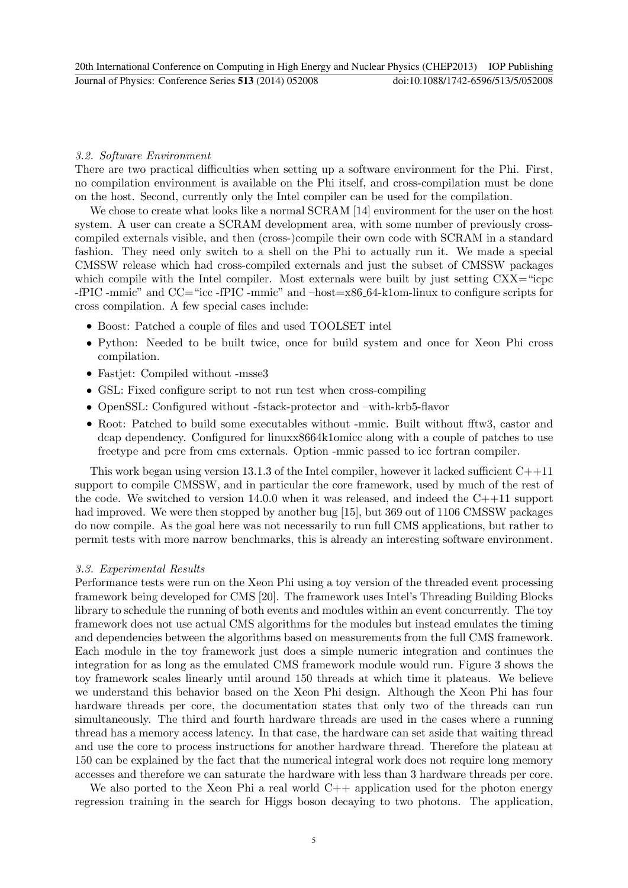#### *3.2. Software Environment*

There are two practical difficulties when setting up a software environment for the Phi. First, no compilation environment is available on the Phi itself, and cross-compilation must be done on the host. Second, currently only the Intel compiler can be used for the compilation.

We chose to create what looks like a normal SCRAM [14] environment for the user on the host system. A user can create a SCRAM development area, with some number of previously crosscompiled externals visible, and then (cross-)compile their own code with SCRAM in a standard fashion. They need only switch to a shell on the Phi to actually run it. We made a special CMSSW release which had cross-compiled externals and just the subset of CMSSW packages which compile with the Intel compiler. Most externals were built by just setting  $CXX =$ "icpc -fPIC -mmic" and CC="icc -fPIC -mmic" and –host=x86 64-k1om-linux to configure scripts for cross compilation. A few special cases include:

- *•* Boost: Patched a couple of files and used TOOLSET intel
- Python: Needed to be built twice, once for build system and once for Xeon Phi cross compilation.
- *•* Fastjet: Compiled without -msse3
- GSL: Fixed configure script to not run test when cross-compiling
- *•* OpenSSL: Configured without -fstack-protector and –with-krb5-flavor
- *•* Root: Patched to build some executables without -mmic. Built without fftw3, castor and dcap dependency. Configured for linuxx8664k1omicc along with a couple of patches to use freetype and pcre from cms externals. Option -mmic passed to icc fortran compiler.

This work began using version 13.1.3 of the Intel compiler, however it lacked sufficient  $C++11$ support to compile CMSSW, and in particular the core framework, used by much of the rest of the code. We switched to version 14.0.0 when it was released, and indeed the  $C+11$  support had improved. We were then stopped by another bug [15], but 369 out of 1106 CMSSW packages do now compile. As the goal here was not necessarily to run full CMS applications, but rather to permit tests with more narrow benchmarks, this is already an interesting software environment.

#### *3.3. Experimental Results*

Performance tests were run on the Xeon Phi using a toy version of the threaded event processing framework being developed for CMS [20]. The framework uses Intel's Threading Building Blocks library to schedule the running of both events and modules within an event concurrently. The toy framework does not use actual CMS algorithms for the modules but instead emulates the timing and dependencies between the algorithms based on measurements from the full CMS framework. Each module in the toy framework just does a simple numeric integration and continues the integration for as long as the emulated CMS framework module would run. Figure 3 shows the toy framework scales linearly until around 150 threads at which time it plateaus. We believe we understand this behavior based on the Xeon Phi design. Although the Xeon Phi has four hardware threads per core, the documentation states that only two of the threads can run simultaneously. The third and fourth hardware threads are used in the cases where a running thread has a memory access latency. In that case, the hardware can set aside that waiting thread and use the core to process instructions for another hardware thread. Therefore the plateau at 150 can be explained by the fact that the numerical integral work does not require long memory accesses and therefore we can saturate the hardware with less than 3 hardware threads per core.

We also ported to the Xeon Phi a real world  $C++$  application used for the photon energy regression training in the search for Higgs boson decaying to two photons. The application,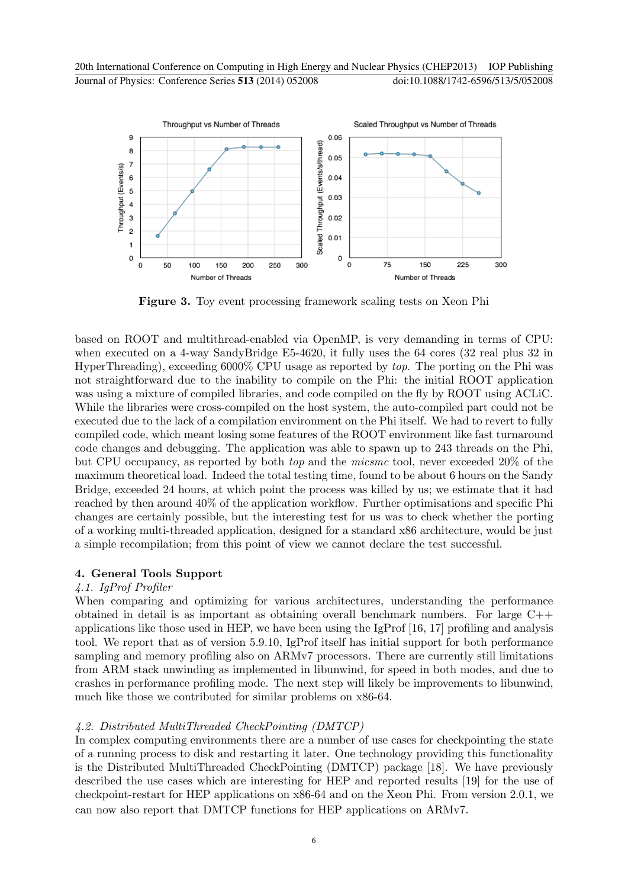

Figure 3. Toy event processing framework scaling tests on Xeon Phi

based on ROOT and multithread-enabled via OpenMP, is very demanding in terms of CPU: when executed on a 4-way SandyBridge E5-4620, it fully uses the 64 cores (32 real plus 32 in HyperThreading), exceeding 6000% CPU usage as reported by *top*. The porting on the Phi was not straightforward due to the inability to compile on the Phi: the initial ROOT application was using a mixture of compiled libraries, and code compiled on the fly by ROOT using ACLiC. While the libraries were cross-compiled on the host system, the auto-compiled part could not be executed due to the lack of a compilation environment on the Phi itself. We had to revert to fully compiled code, which meant losing some features of the ROOT environment like fast turnaround code changes and debugging. The application was able to spawn up to 243 threads on the Phi, but CPU occupancy, as reported by both *top* and the *micsmc* tool, never exceeded 20% of the maximum theoretical load. Indeed the total testing time, found to be about 6 hours on the Sandy Bridge, exceeded 24 hours, at which point the process was killed by us; we estimate that it had reached by then around 40% of the application workflow. Further optimisations and specific Phi changes are certainly possible, but the interesting test for us was to check whether the porting of a working multi-threaded application, designed for a standard x86 architecture, would be just a simple recompilation; from this point of view we cannot declare the test successful.

## 4. General Tools Support

## *4.1. IgProf Profiler*

When comparing and optimizing for various architectures, understanding the performance obtained in detail is as important as obtaining overall benchmark numbers. For large  $C++$ applications like those used in HEP, we have been using the IgProf [16, 17] profiling and analysis tool. We report that as of version 5.9.10, IgProf itself has initial support for both performance sampling and memory profiling also on ARMv7 processors. There are currently still limitations from ARM stack unwinding as implemented in libunwind, for speed in both modes, and due to crashes in performance profiling mode. The next step will likely be improvements to libunwind, much like those we contributed for similar problems on x86-64.

## *4.2. Distributed MultiThreaded CheckPointing (DMTCP)*

In complex computing environments there are a number of use cases for checkpointing the state of a running process to disk and restarting it later. One technology providing this functionality is the Distributed MultiThreaded CheckPointing (DMTCP) package [18]. We have previously described the use cases which are interesting for HEP and reported results [19] for the use of checkpoint-restart for HEP applications on x86-64 and on the Xeon Phi. From version 2.0.1, we can now also report that DMTCP functions for HEP applications on ARMv7.